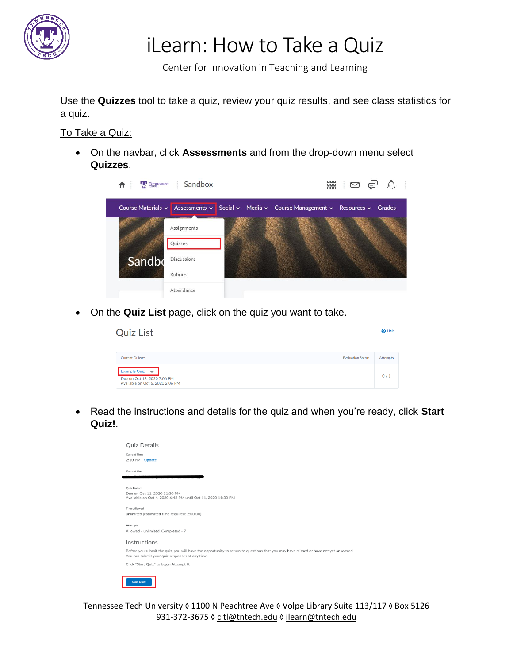

iLearn: How to Take a Quiz

Center for Innovation in Teaching and Learning

Use the **Quizzes** tool to take a quiz, review your quiz results, and see class statistics for a quiz.

## To Take a Quiz:

• On the navbar, click **Assessments** and from the drop-down menu select **Quizzes**.

| Course Materials $\sim$ | Assessments $\sim$ |  | Social $\sim$ Media $\sim$ Course Management $\sim$ Resources $\sim$ |  | Grades |
|-------------------------|--------------------|--|----------------------------------------------------------------------|--|--------|
|                         |                    |  |                                                                      |  |        |
|                         | Assignments        |  |                                                                      |  |        |
|                         | Quizzes            |  |                                                                      |  |        |
| Sandbo                  | <b>Discussions</b> |  |                                                                      |  |        |
|                         | Rubrics            |  |                                                                      |  |        |
|                         | Attendance         |  |                                                                      |  |        |

• On the **Quiz List** page, click on the quiz you want to take.

| <b>Quiz List</b>                                                                       |                          | <sup>O</sup> Help |
|----------------------------------------------------------------------------------------|--------------------------|-------------------|
| <b>Current Quizzes</b>                                                                 | <b>Evaluation Status</b> | Attempts          |
| Example Quiz $\vee$<br>Due on Oct 13, 2020 7:06 PM<br>Available on Oct 6, 2020 2:06 PM |                          | 0/1               |

• Read the instructions and details for the quiz and when you're ready, click **Start Quiz!**.



Tennessee Tech University © 1100 N Peachtree Ave © Volpe Library Suite 113/117 © Box 5126 931-372-3675 ◊ [citl@tntech.edu](mailto:citl@tntech.edu) ◊ [ilearn@tntech.edu](mailto:ilearn@tntech.edu)